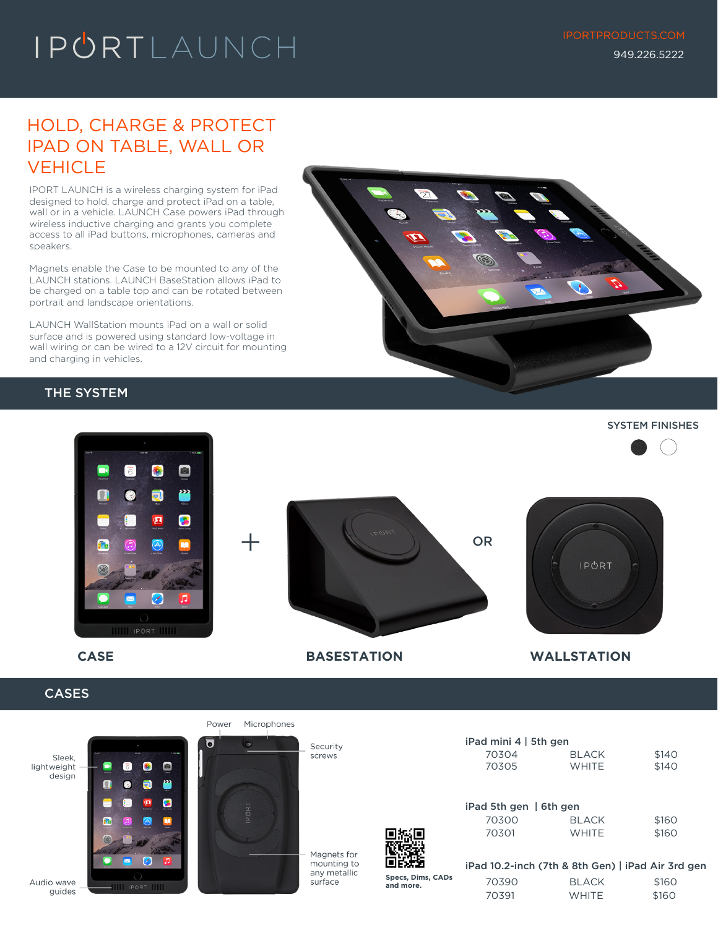# IPORTLAUNCH

## HOLD, CHARGE & PROTECT IPAD ON TABLE, WALL OR **VEHICLE**

IPORT LAUNCH is a wireless charging system for iPad designed to hold, charge and protect iPad on a table, wall or in a vehicle. LAUNCH Case powers iPad through wireless inductive charging and grants you complete access to all iPad buttons, microphones, cameras and speakers.

Magnets enable the Case to be mounted to any of the LAUNCH stations. LAUNCH BaseStation allows iPad to be charged on a table top and can be rotated between portrait and landscape orientations.

LAUNCH WallStation mounts iPad on a wall or solid surface and is powered using standard low-voltage in wall wiring or can be wired to a 12V circuit for mounting and charging in vehicles.

### THE SYSTEM



#### SYSTEM FINISHES  $\bullet$  $\overline{6}$  $\blacksquare$ ₩ 6 E) 四 B + 0R j. **IPORT**  $\sim$ п I IPÓRT



### **CASES**